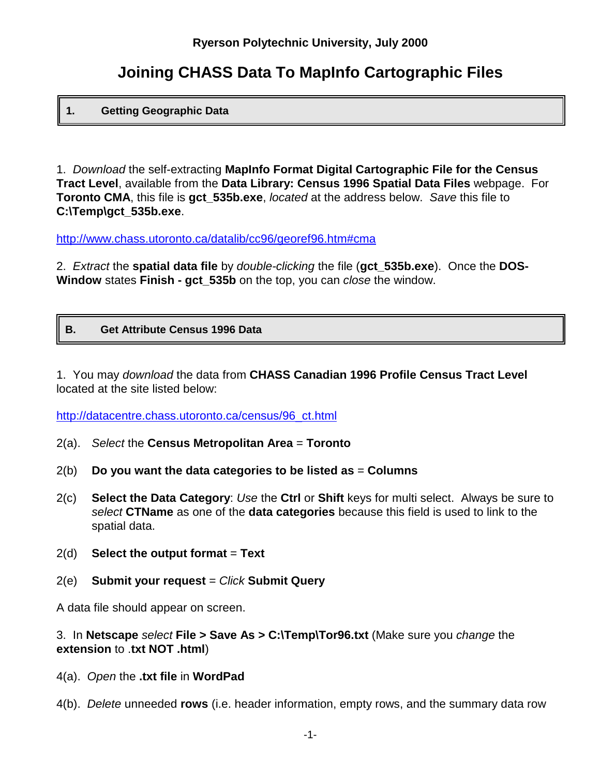# **Joining CHASS Data To MapInfo Cartographic Files**

## **1. Getting Geographic Data**

1. *Download* the self-extracting **MapInfo Format Digital Cartographic File for the Census Tract Level**, available from the **Data Library: Census 1996 Spatial Data Files** webpage. For **Toronto CMA**, this file is **gct\_535b.exe**, *located* at the address below. *Save* this file to **C:\Temp\gct\_535b.exe**.

http://www.chass.utoronto.ca/datalib/cc96/georef96.htm#cma

2. *Extract* the **spatial data file** by *double-clicking* the file (**gct\_535b.exe**). Once the **DOS-Window** states **Finish - gct\_535b** on the top, you can *close* the window.

## **B. Get Attribute Census 1996 Data**

1. You may *download* the data from **CHASS Canadian 1996 Profile Census Tract Level** located at the site listed below:

http://datacentre.chass.utoronto.ca/census/96\_ct.html

- 2(a). *Select* the **Census Metropolitan Area** = **Toronto**
- 2(b) **Do you want the data categories to be listed as** = **Columns**
- 2(c) **Select the Data Category**: *Use* the **Ctrl** or **Shift** keys for multi select. Always be sure to *select* **CTName** as one of the **data categories** because this field is used to link to the spatial data.
- 2(d) **Select the output format** = **Text**
- 2(e) **Submit your request** = *Click* **Submit Query**

A data file should appear on screen.

#### 3. In **Netscape** *select* **File > Save As > C:\Temp\Tor96.txt** (Make sure you *change* the **extension** to .**txt NOT .html**)

- 4(a). *Open* the **.txt file** in **WordPad**
- 4(b). *Delete* unneeded **rows** (i.e. header information, empty rows, and the summary data row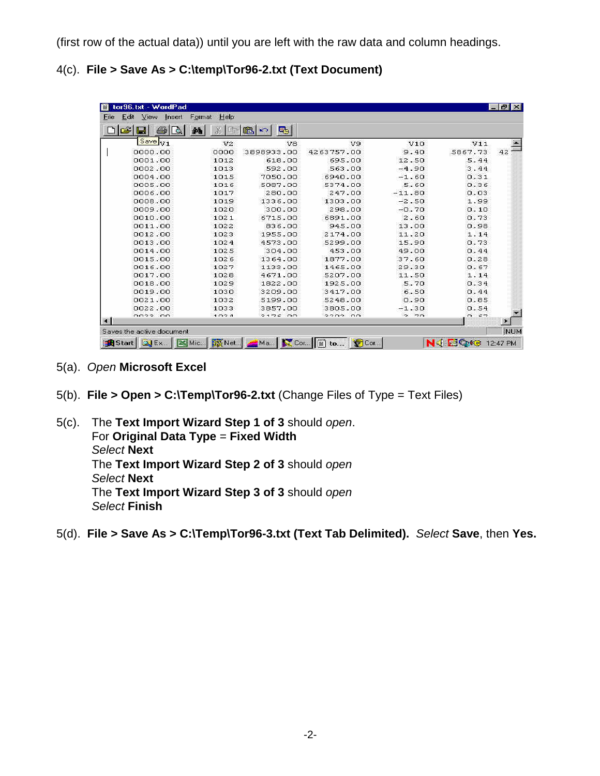(first row of the actual data)) until you are left with the raw data and column headings.

4(c). **File > Save As > C:\temp\Tor96-2.txt (Text Document)**

|         | ቂ<br>李市        | 亀<br>喝<br>KO. |            |              |          |    |
|---------|----------------|---------------|------------|--------------|----------|----|
| Save V1 | V <sub>2</sub> | V8            | V9         | V10          | V11      |    |
| 0000.00 | 0000           | 3898933.00    | 4263757.00 | 9.40         | 5867.73  | 42 |
| 0001.00 | 1012           | 618.00        | 695.00     | 12.50        | 5.44     |    |
| 0002.00 | 1013           | 592.00        | 563.00     | $-4.90$      | 3.44     |    |
| 0004.00 | 1015           | 7050.00       | 6940.00    | $-1.60$      | 0.31     |    |
| 0005.00 | 1016           | 5087.00       | 5374.00    | 5.60         | 0.36     |    |
| 0006.00 | 1017           | 280.00        | 247.00     | $-11.80$     | 0.03     |    |
| 0008.00 | 1019           | 1336.00       | 1303.00    | $-2.50$      | 1.99     |    |
| 0009.00 | 1020           | 300.00        | 298.00     | $-0.70$      | 0.10     |    |
| 0010.00 | 1021           | 6715.00       | 6891.00    | 2.60         | 0.73     |    |
| 0011.00 | 1022           | 836.00        | 945.00     | 13.00        | 0.98     |    |
| 0012.00 | 1023           | 1955.00       | 2174.00    | 11.20        | 1.14     |    |
| 0013.00 | 1024           | 4573.00       | 5299.00    | 15.90        | 0.73     |    |
| 0014.00 | 1025           | 304.00        | 453.00     | 49.00        | 0.44     |    |
| 0015.00 | 1026           | 1364.00       | 1877.00    | 37.60        | 0.28     |    |
| 0016.00 | 1027           | 1133.00       | 1465.00    | 29.30        | 0.67     |    |
| 0017.00 | 1028           | 4671.00       | 5207.00    | 11.50        | 1.14     |    |
| 0018.00 | 1029           | 1822.00       | 1925.00    | 5.70         | 0.34     |    |
| 0019.00 | 1030           | 3209.00       | 3417.00    | 6.50         | 0.44     |    |
| 0021.00 | 1032           | 5199.00       | 5248.00    | 0.90         | 0.85     |    |
| 0022.00 | 1033           | 3857.00       | 3805.00    | $-1.30$      | 0.54     |    |
| nnee nn | 1.021          | 2176.00       | 2202.00    | 70<br>$\sim$ | $n - 27$ |    |

- 5(a). *Open* **Microsoft Excel**
- 5(b). **File > Open > C:\Temp\Tor96-2.txt** (Change Files of Type = Text Files)
- 5(c). The **Text Import Wizard Step 1 of 3** should *open*. For **Original Data Type** = **Fixed Width** *Select* **Next** The **Text Import Wizard Step 2 of 3** should *open Select* **Next** The **Text Import Wizard Step 3 of 3** should *open Select* **Finish**
- 5(d). **File > Save As > C:\Temp\Tor96-3.txt (Text Tab Delimited).** *Select* **Save**, then **Yes.**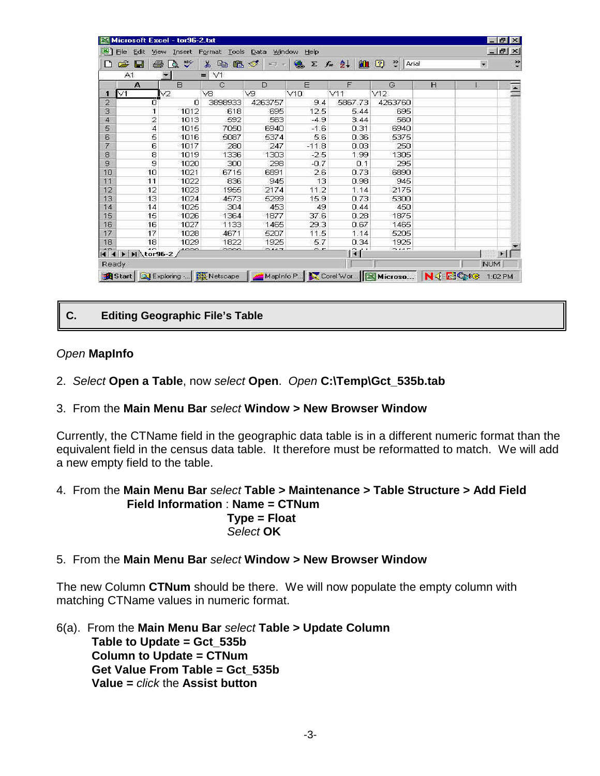| B<br>File           | Edit<br>View                                      | Insert            | Tools<br>Format | Window<br>Data | Help       |                   |                 |   |            | $ F$ $\times$         |
|---------------------|---------------------------------------------------|-------------------|-----------------|----------------|------------|-------------------|-----------------|---|------------|-----------------------|
| $\rightarrow$<br>ľ٦ | 8<br>н                                            | $\tilde{v}$<br>Ō. | 品<br>电偏         | ◁<br>MG3       | Σ          | 針<br>$f_{\infty}$ | 仙豆<br>$2$ Arial |   | 灩          | $\ddot{\cdot}$        |
|                     | A1                                                |                   | V1<br>$=$       |                |            |                   |                 |   |            |                       |
|                     | A                                                 | в                 | Ĉ               | D              | Ë          | F                 | G               | H |            | $\blacktriangleright$ |
| $\vee$ 1<br>п       |                                                   | V2                | V <sub>8</sub>  | V9             | V10        | V11               | V12             |   |            |                       |
| $\overline{2}$      | U                                                 | 0                 | 3898933         | 4263757        | 9.4        | 5867.73           | 4263760         |   |            |                       |
| 3                   | 1                                                 | 1012              | 618             | 695            | 12.5       | 5.44              | 695             |   |            |                       |
| 4                   | $\overline{\mathbf{c}}$                           | 1013              | 592             | 563            | $-4.9$     | 3.44              | 560             |   |            |                       |
| 5                   | 4                                                 | 1015              | 7050            | 6940           | $-1.6$     | 0.31              | 6940            |   |            |                       |
| 6                   | ნ<br>ნ                                            | 1016              | 5087            | 5374           | 5.6        | 0.36              | 5375            |   |            |                       |
| $\overline{7}$      |                                                   | 1017              | 280             | 247            | $-11.8$    | 0.03              | 250             |   |            |                       |
| 8                   | 8<br>9                                            | 1019              | 1336            | 1303           | $-2.5$     | 1.99              | 1305            |   |            |                       |
| 9                   |                                                   | 1020              | 300             | 298            | $-0.7$     | 0.1               | 295             |   |            |                       |
| 10                  | 10                                                | 1021              | 6715            | 6891           | 2.6        | 0.73              | 6890            |   |            |                       |
| 11                  | 11                                                | 1022              | 836             | 945            | 13         | 0.98              | 945             |   |            |                       |
| 12                  | 12                                                | 1023              | 1955            | 2174           | 11.2       | 1.14              | 2175            |   |            |                       |
| 13                  | 13                                                | 1024              | 4573            | 5299           | 15.9       | 0.73              | 5300            |   |            |                       |
| 14                  | 14                                                | 1025              | 304             | 453            | 49         | 0.44              | 450             |   |            |                       |
| 15                  | 15                                                | 1026              | 1364            | 1877           | 37.6       | 0.28              | 1875            |   |            |                       |
| 16                  | 16                                                | 1027              | 1133            | 1465           | 29.3       | 0.67              | 1465            |   |            |                       |
| 17                  | 17                                                | 1028              | 4671            | 5207           | 11.5       | 1.14              | 5205            |   |            |                       |
| 18                  | 18                                                | 1029              | 1822            | 1925           | 5.7        | 0.34              | 1925            |   |            |                       |
| $\overline{AB}$     | $\overline{1}$<br>$ 4 \t4 \t b$ > $ 4 \t6 \t2 \t$ | 1000              | nno             | 547            | $\sim$ $-$ | tiel              | $S = 1.1T$      |   |            | ×                     |
| Ready               |                                                   |                   |                 |                |            |                   |                 |   | <b>NUM</b> |                       |

# **C. Editing Geographic File's Table**

## *Open* **MapInfo**

- 2. *Select* **Open a Table**, now *select* **Open**. *Open* **C:\Temp\Gct\_535b.tab**
- 3. From the **Main Menu Bar** *select* **Window > New Browser Window**

Currently, the CTName field in the geographic data table is in a different numeric format than the equivalent field in the census data table. It therefore must be reformatted to match. We will add a new empty field to the table.

- 4. From the **Main Menu Bar** *select* **Table > Maintenance > Table Structure > Add Field Field Information** : **Name = CTNum Type = Float** *Select* **OK**
- 5. From the **Main Menu Bar** *select* **Window > New Browser Window**

The new Column **CTNum** should be there. We will now populate the empty column with matching CTName values in numeric format.

6(a). From the **Main Menu Bar** *select* **Table > Update Column Table to Update = Gct\_535b Column to Update = CTNum Get Value From Table = Gct\_535b Value =** *click* the **Assist button**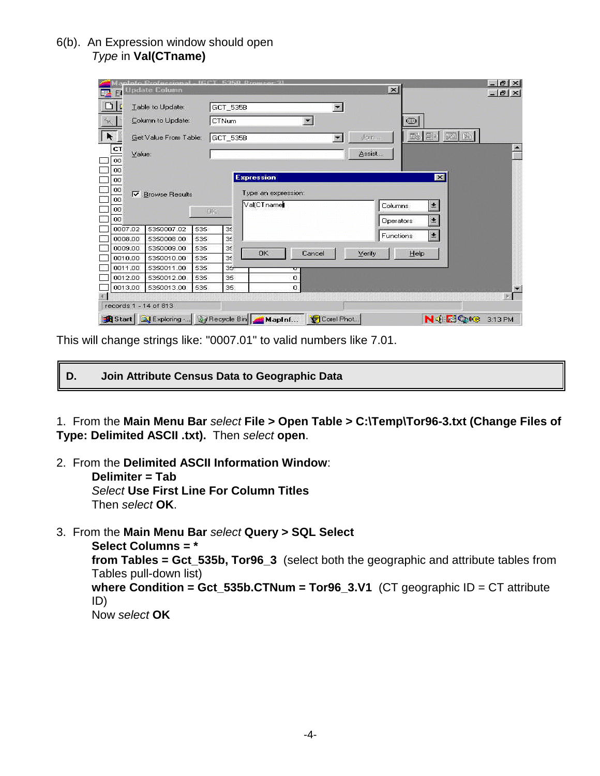# 6(b). An Expression window should open *Type* in **Val(CTname)**

|                      |        | <b>Column</b>                        |     |              | <b>STRD Dromeor 31</b><br>$\vert x \vert$ |                      | $ B$ $\times$<br>$ B$ $\times$ |
|----------------------|--------|--------------------------------------|-----|--------------|-------------------------------------------|----------------------|--------------------------------|
|                      |        | Lable to Update:                     |     | GCT_535B     | $\overline{\mathbf{z}}$                   |                      |                                |
|                      |        | Column to Update:                    |     | <b>CTNum</b> | $\overline{\mathbf{r}}$<br>$\bigcirc$     |                      |                                |
| k                    |        | Get Value From Table:                |     | GCT_535B     | 56 图<br>John.<br><b>ISS</b>               | 图图                   |                                |
| C <sub>T</sub><br>00 | Value: |                                      |     |              | Assist                                    |                      | ×                              |
| 00<br>00<br>OO       |        | <b>V</b> Browse Results              |     |              | <b>Expression</b><br>Type an expression:  | ×                    |                                |
| 00<br>00<br>00       |        |                                      |     | BK.          | Val(CTname<br>Columns:<br>Operators       | $\bullet$<br>$\pm$   |                                |
| 0007.02              |        | 5350007.02                           | 535 | 35           | Functions                                 | 国                    |                                |
| 0008.00              |        | 5350008.00                           | 535 | 35           |                                           |                      |                                |
| 0009.00              |        | 5350009.00                           | 535 | $3\xi$       | <b>DK</b><br>Cancel<br>Verify<br>Help     |                      |                                |
| 0010.00              |        | 5350010.00                           | 535 | 35           |                                           |                      |                                |
| 0011.00              |        | 5350011.00                           | 535 | $35 -$       |                                           |                      |                                |
| 0012.00              |        | 5350012.00                           | 535 | 35           | 0                                         |                      |                                |
| 0013.00              |        | 5350013.00                           | 535 | 35.          | о                                         |                      | æ.                             |
|                      |        | records 1 - 14 of 813                |     |              |                                           |                      |                                |
|                      |        | Start   J Exploring    @ Recycle Bin |     |              | Mapinf<br>Corel Phot.                     | NG ESQRES<br>3:13 PM |                                |

This will change strings like: "0007.01" to valid numbers like 7.01.

**D. Join Attribute Census Data to Geographic Data**

1. From the **Main Menu Bar** *select* **File > Open Table > C:\Temp\Tor96-3.txt (Change Files of Type: Delimited ASCII .txt).** Then *select* **open**.

- 2. From the **Delimited ASCII Information Window**: **Delimiter = Tab** *Select* **Use First Line For Column Titles** Then *select* **OK**.
- 3. From the **Main Menu Bar** *select* **Query > SQL Select**

**Select Columns = \* from Tables = Gct\_535b, Tor96\_3** (select both the geographic and attribute tables from Tables pull-down list) **where Condition = Gct\_535b.CTNum = Tor96\_3.V1** (CT geographic ID = CT attribute ID) Now *select* **OK**